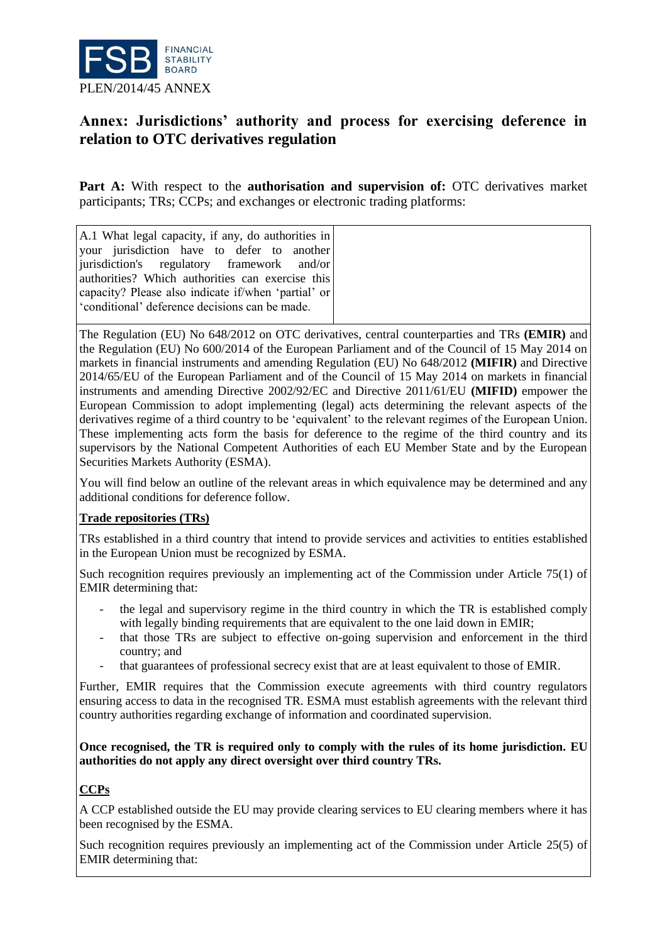

# **Annex: Jurisdictions' authority and process for exercising deference in relation to OTC derivatives regulation**

Part A: With respect to the **authorisation and supervision of:** OTC derivatives market participants; TRs; CCPs; and exchanges or electronic trading platforms:

A.1 What legal capacity, if any, do authorities in your jurisdiction have to defer to another jurisdiction's regulatory framework and/or authorities? Which authorities can exercise this capacity? Please also indicate if/when 'partial' or 'conditional' deference decisions can be made.

The Regulation (EU) No 648/2012 on OTC derivatives, central counterparties and TRs **(EMIR)** and the Regulation (EU) No 600/2014 of the European Parliament and of the Council of 15 May 2014 on markets in financial instruments and amending Regulation (EU) No 648/2012 **(MIFIR)** and Directive 2014/65/EU of the European Parliament and of the Council of 15 May 2014 on markets in financial instruments and amending Directive 2002/92/EC and Directive 2011/61/EU **(MIFID)** empower the European Commission to adopt implementing (legal) acts determining the relevant aspects of the derivatives regime of a third country to be 'equivalent' to the relevant regimes of the European Union. These implementing acts form the basis for deference to the regime of the third country and its supervisors by the National Competent Authorities of each EU Member State and by the European Securities Markets Authority (ESMA).

You will find below an outline of the relevant areas in which equivalence may be determined and any additional conditions for deference follow.

# **Trade repositories (TRs)**

TRs established in a third country that intend to provide services and activities to entities established in the European Union must be recognized by ESMA.

Such recognition requires previously an implementing act of the Commission under Article 75(1) of EMIR determining that:

- the legal and supervisory regime in the third country in which the TR is established comply with legally binding requirements that are equivalent to the one laid down in EMIR;
- that those TRs are subject to effective on-going supervision and enforcement in the third country; and
- that guarantees of professional secrecy exist that are at least equivalent to those of EMIR.

Further, EMIR requires that the Commission execute agreements with third country regulators ensuring access to data in the recognised TR. ESMA must establish agreements with the relevant third country authorities regarding exchange of information and coordinated supervision.

#### **Once recognised, the TR is required only to comply with the rules of its home jurisdiction. EU authorities do not apply any direct oversight over third country TRs.**

# **CCPs**

A CCP established outside the EU may provide clearing services to EU clearing members where it has been recognised by the ESMA.

Such recognition requires previously an implementing act of the Commission under Article 25(5) of EMIR determining that: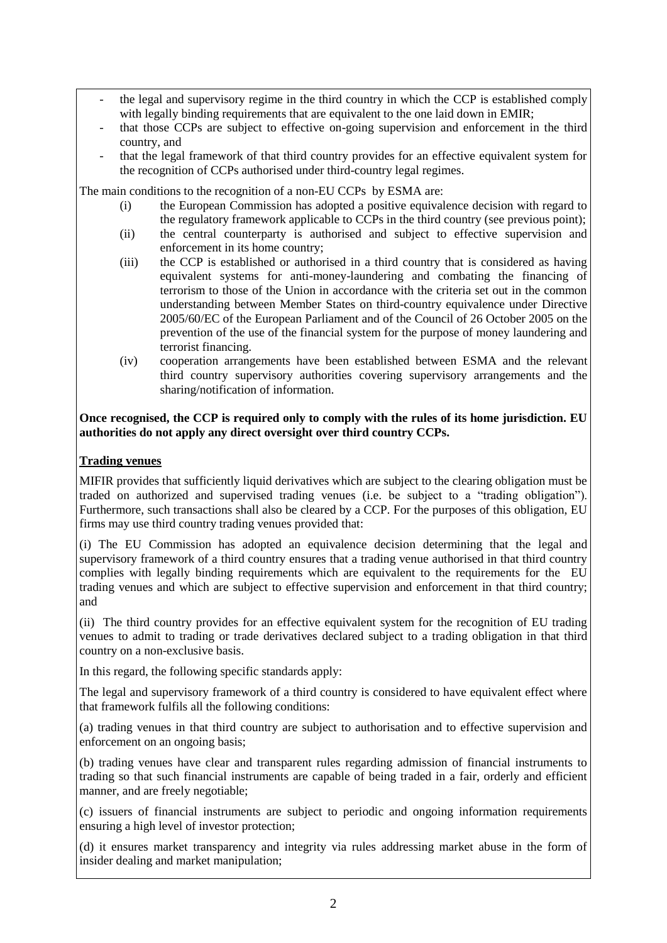- the legal and supervisory regime in the third country in which the CCP is established comply with legally binding requirements that are equivalent to the one laid down in EMIR;
- that those CCPs are subject to effective on-going supervision and enforcement in the third country, and
- that the legal framework of that third country provides for an effective equivalent system for the recognition of CCPs authorised under third-country legal regimes.

The main conditions to the recognition of a non-EU CCPs by ESMA are:

- (i) the European Commission has adopted a positive equivalence decision with regard to the regulatory framework applicable to CCPs in the third country (see previous point);
- (ii) the central counterparty is authorised and subject to effective supervision and enforcement in its home country;
- (iii) the CCP is established or authorised in a third country that is considered as having equivalent systems for anti-money-laundering and combating the financing of terrorism to those of the Union in accordance with the criteria set out in the common understanding between Member States on third-country equivalence under Directive 2005/60/EC of the European Parliament and of the Council of 26 October 2005 on the prevention of the use of the financial system for the purpose of money laundering and terrorist financing.
- (iv) cooperation arrangements have been established between ESMA and the relevant third country supervisory authorities covering supervisory arrangements and the sharing/notification of information.

### **Once recognised, the CCP is required only to comply with the rules of its home jurisdiction. EU authorities do not apply any direct oversight over third country CCPs.**

# **Trading venues**

MIFIR provides that sufficiently liquid derivatives which are subject to the clearing obligation must be traded on authorized and supervised trading venues (i.e. be subject to a "trading obligation"). Furthermore, such transactions shall also be cleared by a CCP. For the purposes of this obligation, EU firms may use third country trading venues provided that:

(i) The EU Commission has adopted an equivalence decision determining that the legal and supervisory framework of a third country ensures that a trading venue authorised in that third country complies with legally binding requirements which are equivalent to the requirements for the EU trading venues and which are subject to effective supervision and enforcement in that third country; and

(ii) The third country provides for an effective equivalent system for the recognition of EU trading venues to admit to trading or trade derivatives declared subject to a trading obligation in that third country on a non-exclusive basis.

In this regard, the following specific standards apply:

The legal and supervisory framework of a third country is considered to have equivalent effect where that framework fulfils all the following conditions:

(a) trading venues in that third country are subject to authorisation and to effective supervision and enforcement on an ongoing basis;

(b) trading venues have clear and transparent rules regarding admission of financial instruments to trading so that such financial instruments are capable of being traded in a fair, orderly and efficient manner, and are freely negotiable;

(c) issuers of financial instruments are subject to periodic and ongoing information requirements ensuring a high level of investor protection;

(d) it ensures market transparency and integrity via rules addressing market abuse in the form of insider dealing and market manipulation;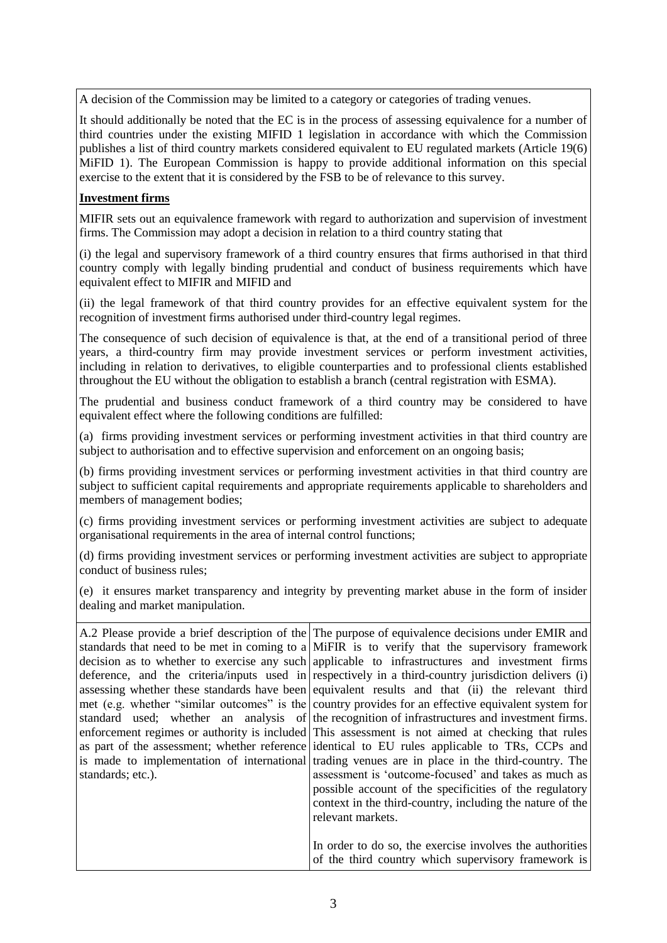A decision of the Commission may be limited to a category or categories of trading venues.

It should additionally be noted that the EC is in the process of assessing equivalence for a number of third countries under the existing MIFID 1 legislation in accordance with which the Commission publishes a list of third country markets considered equivalent to EU regulated markets (Article 19(6) MiFID 1). The European Commission is happy to provide additional information on this special exercise to the extent that it is considered by the FSB to be of relevance to this survey.

#### **Investment firms**

MIFIR sets out an equivalence framework with regard to authorization and supervision of investment firms. The Commission may adopt a decision in relation to a third country stating that

(i) the legal and supervisory framework of a third country ensures that firms authorised in that third country comply with legally binding prudential and conduct of business requirements which have equivalent effect to MIFIR and MIFID and

(ii) the legal framework of that third country provides for an effective equivalent system for the recognition of investment firms authorised under third-country legal regimes.

The consequence of such decision of equivalence is that, at the end of a transitional period of three years, a third-country firm may provide investment services or perform investment activities, including in relation to derivatives, to eligible counterparties and to professional clients established throughout the EU without the obligation to establish a branch (central registration with ESMA).

The prudential and business conduct framework of a third country may be considered to have equivalent effect where the following conditions are fulfilled:

(a) firms providing investment services or performing investment activities in that third country are subject to authorisation and to effective supervision and enforcement on an ongoing basis;

(b) firms providing investment services or performing investment activities in that third country are subject to sufficient capital requirements and appropriate requirements applicable to shareholders and members of management bodies;

(c) firms providing investment services or performing investment activities are subject to adequate organisational requirements in the area of internal control functions;

(d) firms providing investment services or performing investment activities are subject to appropriate conduct of business rules;

(e) it ensures market transparency and integrity by preventing market abuse in the form of insider dealing and market manipulation.

| standards; etc.). | A.2 Please provide a brief description of the The purpose of equivalence decisions under EMIR and<br>standards that need to be met in coming to a MiFIR is to verify that the supervisory framework<br>decision as to whether to exercise any such applicable to infrastructures and investment firms<br>deference, and the criterial in espectively in a third-country jurisdiction delivers $(i)$<br>assessing whether these standards have been equivalent results and that (ii) the relevant third<br>met (e.g. whether "similar outcomes" is the country provides for an effective equivalent system for<br>standard used; whether an analysis of the recognition of infrastructures and investment firms.<br>enforcement regimes or authority is included This assessment is not aimed at checking that rules<br>as part of the assessment; whether reference didentical to EU rules applicable to TRs, CCPs and<br>is made to implementation of international trading venues are in place in the third-country. The<br>assessment is 'outcome-focused' and takes as much as |
|-------------------|------------------------------------------------------------------------------------------------------------------------------------------------------------------------------------------------------------------------------------------------------------------------------------------------------------------------------------------------------------------------------------------------------------------------------------------------------------------------------------------------------------------------------------------------------------------------------------------------------------------------------------------------------------------------------------------------------------------------------------------------------------------------------------------------------------------------------------------------------------------------------------------------------------------------------------------------------------------------------------------------------------------------------------------------------------------------------------|
|                   | possible account of the specificities of the regulatory<br>context in the third-country, including the nature of the<br>relevant markets.                                                                                                                                                                                                                                                                                                                                                                                                                                                                                                                                                                                                                                                                                                                                                                                                                                                                                                                                          |
|                   | In order to do so, the exercise involves the authorities<br>of the third country which supervisory framework is                                                                                                                                                                                                                                                                                                                                                                                                                                                                                                                                                                                                                                                                                                                                                                                                                                                                                                                                                                    |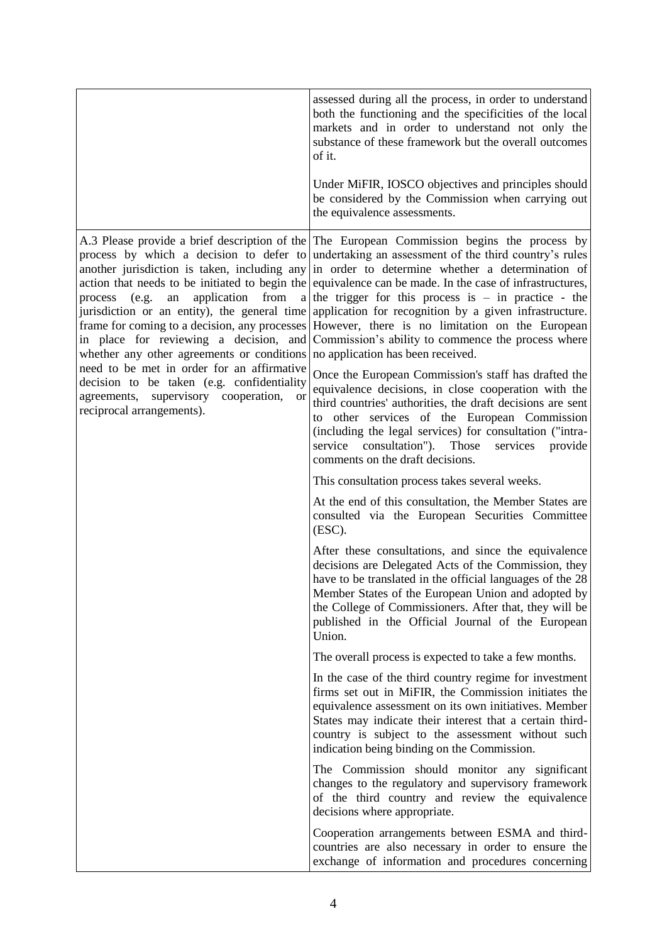|                                                                                                                                                                                                                                                                                                | assessed during all the process, in order to understand<br>both the functioning and the specificities of the local<br>markets and in order to understand not only the<br>substance of these framework but the overall outcomes<br>of it.                                                                                                                                                                                                                                                                                                                                                                                                                                                                                                                                  |
|------------------------------------------------------------------------------------------------------------------------------------------------------------------------------------------------------------------------------------------------------------------------------------------------|---------------------------------------------------------------------------------------------------------------------------------------------------------------------------------------------------------------------------------------------------------------------------------------------------------------------------------------------------------------------------------------------------------------------------------------------------------------------------------------------------------------------------------------------------------------------------------------------------------------------------------------------------------------------------------------------------------------------------------------------------------------------------|
|                                                                                                                                                                                                                                                                                                | Under MiFIR, IOSCO objectives and principles should<br>be considered by the Commission when carrying out<br>the equivalence assessments.                                                                                                                                                                                                                                                                                                                                                                                                                                                                                                                                                                                                                                  |
| application from<br>process (e.g.<br>an<br>whether any other agreements or conditions no application has been received.<br>need to be met in order for an affirmative<br>decision to be taken (e.g. confidentiality<br>agreements, supervisory cooperation,<br>or<br>reciprocal arrangements). | A.3 Please provide a brief description of the The European Commission begins the process by<br>process by which a decision to defer to undertaking an assessment of the third country's rules<br>another jurisdiction is taken, including any in order to determine whether a determination of<br>action that needs to be initiated to begin the equivalence can be made. In the case of infrastructures,<br>a the trigger for this process is $-$ in practice - the<br>jurisdiction or an entity), the general time application for recognition by a given infrastructure.<br>frame for coming to a decision, any processes However, there is no limitation on the European<br>in place for reviewing a decision, and Commission's ability to commence the process where |
|                                                                                                                                                                                                                                                                                                | Once the European Commission's staff has drafted the<br>equivalence decisions, in close cooperation with the<br>third countries' authorities, the draft decisions are sent<br>to other services of the European Commission<br>(including the legal services) for consultation ("intra-<br>service consultation"). Those<br>services<br>provide<br>comments on the draft decisions.                                                                                                                                                                                                                                                                                                                                                                                        |
|                                                                                                                                                                                                                                                                                                | This consultation process takes several weeks.                                                                                                                                                                                                                                                                                                                                                                                                                                                                                                                                                                                                                                                                                                                            |
|                                                                                                                                                                                                                                                                                                | At the end of this consultation, the Member States are<br>consulted via the European Securities Committee<br>(ESC).                                                                                                                                                                                                                                                                                                                                                                                                                                                                                                                                                                                                                                                       |
|                                                                                                                                                                                                                                                                                                | After these consultations, and since the equivalence<br>decisions are Delegated Acts of the Commission, they<br>have to be translated in the official languages of the 28<br>Member States of the European Union and adopted by<br>the College of Commissioners. After that, they will be<br>published in the Official Journal of the European<br>Union.                                                                                                                                                                                                                                                                                                                                                                                                                  |
|                                                                                                                                                                                                                                                                                                | The overall process is expected to take a few months.                                                                                                                                                                                                                                                                                                                                                                                                                                                                                                                                                                                                                                                                                                                     |
|                                                                                                                                                                                                                                                                                                | In the case of the third country regime for investment<br>firms set out in MiFIR, the Commission initiates the<br>equivalence assessment on its own initiatives. Member<br>States may indicate their interest that a certain third-<br>country is subject to the assessment without such<br>indication being binding on the Commission.                                                                                                                                                                                                                                                                                                                                                                                                                                   |
|                                                                                                                                                                                                                                                                                                | The Commission should monitor any significant<br>changes to the regulatory and supervisory framework<br>of the third country and review the equivalence<br>decisions where appropriate.                                                                                                                                                                                                                                                                                                                                                                                                                                                                                                                                                                                   |
|                                                                                                                                                                                                                                                                                                | Cooperation arrangements between ESMA and third-<br>countries are also necessary in order to ensure the<br>exchange of information and procedures concerning                                                                                                                                                                                                                                                                                                                                                                                                                                                                                                                                                                                                              |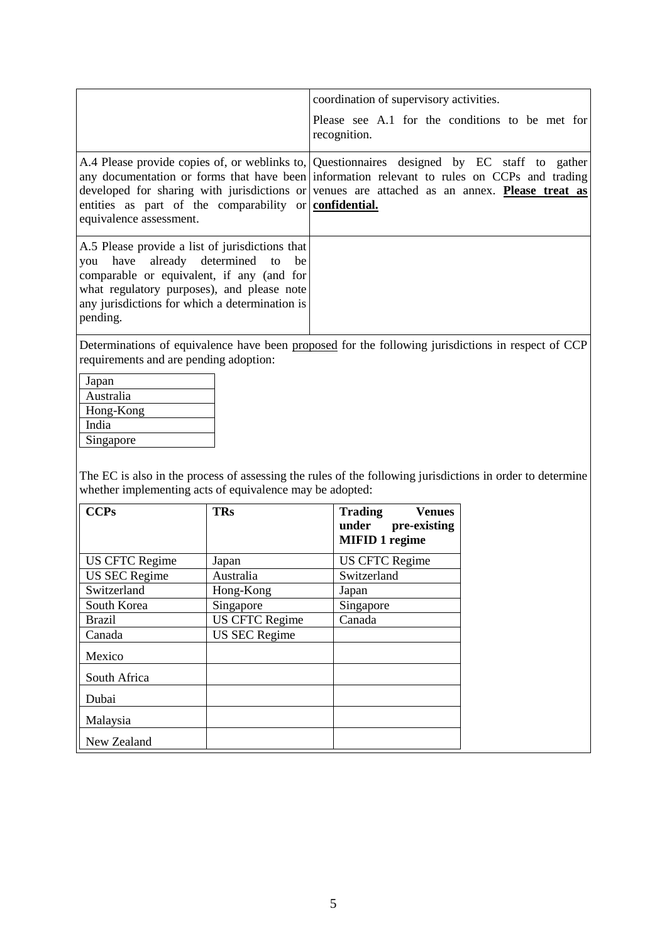|                                                                                                                                                                                                                                               | coordination of supervisory activities.<br>Please see A.1 for the conditions to be met for<br>recognition.                                                                                                                                                                                 |
|-----------------------------------------------------------------------------------------------------------------------------------------------------------------------------------------------------------------------------------------------|--------------------------------------------------------------------------------------------------------------------------------------------------------------------------------------------------------------------------------------------------------------------------------------------|
| entities as part of the comparability or confidential.<br>equivalence assessment.                                                                                                                                                             | A.4 Please provide copies of, or weblinks to, Questionnaires designed by EC staff to gather<br>any documentation or forms that have been information relevant to rules on CCPs and trading<br>developed for sharing with jurisdictions or venues are attached as an annex. Please treat as |
| A.5 Please provide a list of jurisdictions that<br>you have already determined to be<br>comparable or equivalent, if any (and for<br>what regulatory purposes), and please note<br>any jurisdictions for which a determination is<br>pending. |                                                                                                                                                                                                                                                                                            |

Determinations of equivalence have been proposed for the following jurisdictions in respect of CCP requirements and are pending adoption:

| Japan     |
|-----------|
| Australia |
| Hong-Kong |
| India     |
| Singapore |
|           |

The EC is also in the process of assessing the rules of the following jurisdictions in order to determine whether implementing acts of equivalence may be adopted:

| <b>CCPs</b>           | <b>TRs</b>            | <b>Trading</b><br><b>Venues</b><br>pre-existing<br>under |
|-----------------------|-----------------------|----------------------------------------------------------|
|                       |                       | <b>MIFID 1 regime</b>                                    |
| <b>US CFTC Regime</b> | Japan                 | <b>US CFTC Regime</b>                                    |
| <b>US SEC Regime</b>  | Australia             | Switzerland                                              |
| Switzerland           | Hong-Kong             | Japan                                                    |
| South Korea           | Singapore             | Singapore                                                |
| <b>Brazil</b>         | <b>US CFTC Regime</b> | Canada                                                   |
| Canada                | <b>US SEC Regime</b>  |                                                          |
| Mexico                |                       |                                                          |
| South Africa          |                       |                                                          |
| Dubai                 |                       |                                                          |
| Malaysia              |                       |                                                          |
| New Zealand           |                       |                                                          |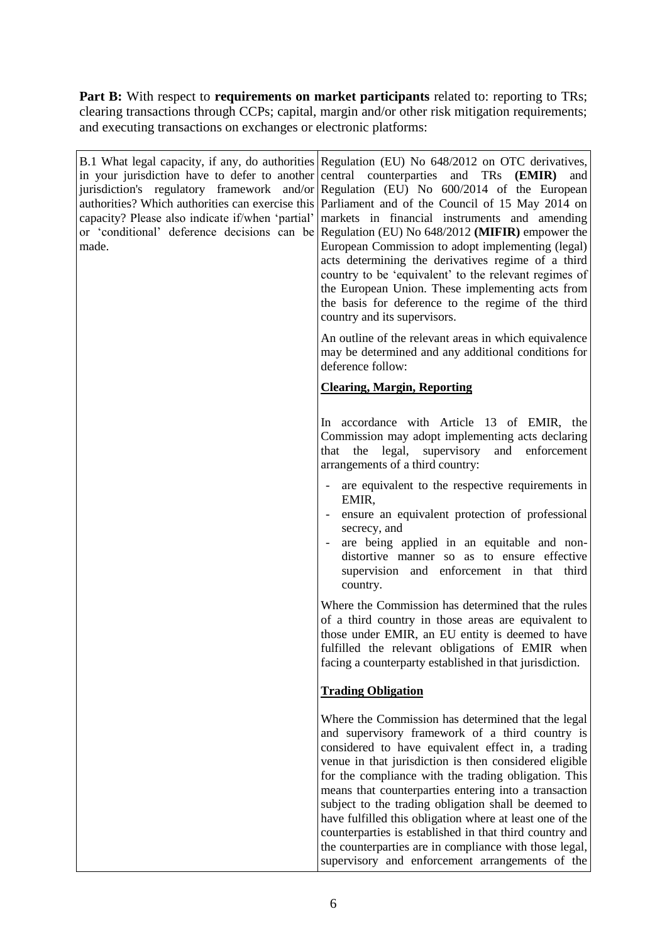**Part B:** With respect to **requirements on market participants** related to: reporting to TRs; clearing transactions through CCPs; capital, margin and/or other risk mitigation requirements; and executing transactions on exchanges or electronic platforms:

| in your jurisdiction have to defer to another central counterparties and TRs<br>made. | B.1 What legal capacity, if any, do authorities Regulation (EU) No 648/2012 on OTC derivatives,<br>(EMIR)<br>and<br>jurisdiction's regulatory framework and/or Regulation (EU) No 600/2014 of the European<br>authorities? Which authorities can exercise this Parliament and of the Council of 15 May 2014 on<br>capacity? Please also indicate if/when 'partial' markets in financial instruments and amending<br>or 'conditional' deference decisions can be Regulation (EU) No $648/2012$ (MIFIR) empower the<br>European Commission to adopt implementing (legal)<br>acts determining the derivatives regime of a third<br>country to be 'equivalent' to the relevant regimes of<br>the European Union. These implementing acts from<br>the basis for deference to the regime of the third<br>country and its supervisors. |
|---------------------------------------------------------------------------------------|---------------------------------------------------------------------------------------------------------------------------------------------------------------------------------------------------------------------------------------------------------------------------------------------------------------------------------------------------------------------------------------------------------------------------------------------------------------------------------------------------------------------------------------------------------------------------------------------------------------------------------------------------------------------------------------------------------------------------------------------------------------------------------------------------------------------------------|
|                                                                                       | An outline of the relevant areas in which equivalence<br>may be determined and any additional conditions for<br>deference follow:                                                                                                                                                                                                                                                                                                                                                                                                                                                                                                                                                                                                                                                                                               |
|                                                                                       | <b>Clearing, Margin, Reporting</b>                                                                                                                                                                                                                                                                                                                                                                                                                                                                                                                                                                                                                                                                                                                                                                                              |
|                                                                                       | In accordance with Article 13 of EMIR, the<br>Commission may adopt implementing acts declaring<br>legal, supervisory<br>that<br>the<br>and<br>enforcement<br>arrangements of a third country:                                                                                                                                                                                                                                                                                                                                                                                                                                                                                                                                                                                                                                   |
|                                                                                       | are equivalent to the respective requirements in<br>EMIR,<br>ensure an equivalent protection of professional<br>secrecy, and<br>are being applied in an equitable and non-<br>distortive manner so as to ensure effective<br>supervision and enforcement in that third<br>country.                                                                                                                                                                                                                                                                                                                                                                                                                                                                                                                                              |
|                                                                                       | Where the Commission has determined that the rules<br>of a third country in those areas are equivalent to<br>those under EMIR, an EU entity is deemed to have<br>fulfilled the relevant obligations of EMIR when<br>facing a counterparty established in that jurisdiction.                                                                                                                                                                                                                                                                                                                                                                                                                                                                                                                                                     |
|                                                                                       | <b>Trading Obligation</b>                                                                                                                                                                                                                                                                                                                                                                                                                                                                                                                                                                                                                                                                                                                                                                                                       |
|                                                                                       | Where the Commission has determined that the legal<br>and supervisory framework of a third country is<br>considered to have equivalent effect in, a trading<br>venue in that jurisdiction is then considered eligible<br>for the compliance with the trading obligation. This<br>means that counterparties entering into a transaction<br>subject to the trading obligation shall be deemed to<br>have fulfilled this obligation where at least one of the<br>counterparties is established in that third country and<br>the counterparties are in compliance with those legal,<br>supervisory and enforcement arrangements of the                                                                                                                                                                                              |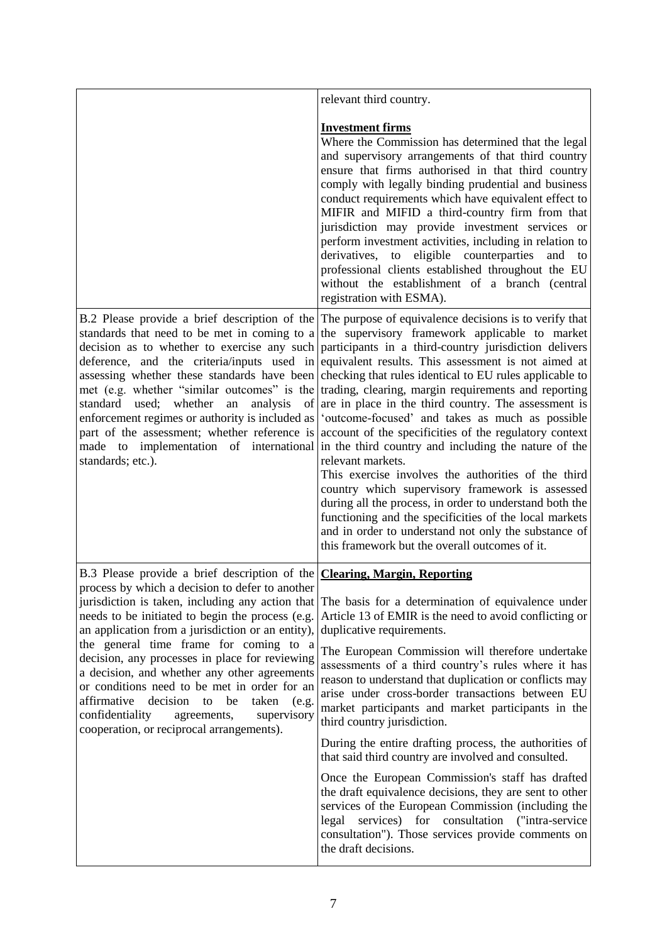|                                                                                                                                                                                                                                                                                                                                                                                                                                                          | relevant third country.                                                                                                                                                                                                                                                                                                                                                                                                                                                                                                                                                                                                                                                                                                                                                                                                                                                                                                                                                                                                                                                                                                                                                                                                                                                                                          |
|----------------------------------------------------------------------------------------------------------------------------------------------------------------------------------------------------------------------------------------------------------------------------------------------------------------------------------------------------------------------------------------------------------------------------------------------------------|------------------------------------------------------------------------------------------------------------------------------------------------------------------------------------------------------------------------------------------------------------------------------------------------------------------------------------------------------------------------------------------------------------------------------------------------------------------------------------------------------------------------------------------------------------------------------------------------------------------------------------------------------------------------------------------------------------------------------------------------------------------------------------------------------------------------------------------------------------------------------------------------------------------------------------------------------------------------------------------------------------------------------------------------------------------------------------------------------------------------------------------------------------------------------------------------------------------------------------------------------------------------------------------------------------------|
|                                                                                                                                                                                                                                                                                                                                                                                                                                                          | <b>Investment firms</b><br>Where the Commission has determined that the legal<br>and supervisory arrangements of that third country<br>ensure that firms authorised in that third country<br>comply with legally binding prudential and business<br>conduct requirements which have equivalent effect to<br>MIFIR and MIFID a third-country firm from that<br>jurisdiction may provide investment services or<br>perform investment activities, including in relation to<br>derivatives, to eligible counterparties<br>and<br>to<br>professional clients established throughout the EU<br>without the establishment of a branch (central<br>registration with ESMA).                                                                                                                                                                                                                                                                                                                                                                                                                                                                                                                                                                                                                                             |
| standard used; whether<br>an<br>analysis<br>enforcement regimes or authority is included as<br>standards; etc.).                                                                                                                                                                                                                                                                                                                                         | B.2 Please provide a brief description of the The purpose of equivalence decisions is to verify that<br>standards that need to be met in coming to a the supervisory framework applicable to market<br>decision as to whether to exercise any such participants in a third-country jurisdiction delivers<br>deference, and the criteria/inputs used in equivalent results. This assessment is not aimed at<br>assessing whether these standards have been checking that rules identical to EU rules applicable to<br>met (e.g. whether "similar outcomes" is the trading, clearing, margin requirements and reporting<br>of $\vert$ are in place in the third country. The assessment is<br>'outcome-focused' and takes as much as possible<br>part of the assessment; whether reference is account of the specificities of the regulatory context<br>made to implementation of international in the third country and including the nature of the<br>relevant markets.<br>This exercise involves the authorities of the third<br>country which supervisory framework is assessed<br>during all the process, in order to understand both the<br>functioning and the specificities of the local markets<br>and in order to understand not only the substance of<br>this framework but the overall outcomes of it. |
| B.3 Please provide a brief description of the Clearing, Margin, Reporting<br>process by which a decision to defer to another                                                                                                                                                                                                                                                                                                                             |                                                                                                                                                                                                                                                                                                                                                                                                                                                                                                                                                                                                                                                                                                                                                                                                                                                                                                                                                                                                                                                                                                                                                                                                                                                                                                                  |
| needs to be initiated to begin the process (e.g.<br>an application from a jurisdiction or an entity),<br>the general time frame for coming to a<br>decision, any processes in place for reviewing<br>a decision, and whether any other agreements<br>or conditions need to be met in order for an<br>affirmative<br>decision<br>be<br>taken<br>to<br>(e.g.<br>confidentiality<br>agreements,<br>supervisory<br>cooperation, or reciprocal arrangements). | jurisdiction is taken, including any action that The basis for a determination of equivalence under<br>Article 13 of EMIR is the need to avoid conflicting or<br>duplicative requirements.                                                                                                                                                                                                                                                                                                                                                                                                                                                                                                                                                                                                                                                                                                                                                                                                                                                                                                                                                                                                                                                                                                                       |
|                                                                                                                                                                                                                                                                                                                                                                                                                                                          | The European Commission will therefore undertake<br>assessments of a third country's rules where it has<br>reason to understand that duplication or conflicts may<br>arise under cross-border transactions between EU<br>market participants and market participants in the<br>third country jurisdiction.                                                                                                                                                                                                                                                                                                                                                                                                                                                                                                                                                                                                                                                                                                                                                                                                                                                                                                                                                                                                       |
|                                                                                                                                                                                                                                                                                                                                                                                                                                                          | During the entire drafting process, the authorities of<br>that said third country are involved and consulted.                                                                                                                                                                                                                                                                                                                                                                                                                                                                                                                                                                                                                                                                                                                                                                                                                                                                                                                                                                                                                                                                                                                                                                                                    |
|                                                                                                                                                                                                                                                                                                                                                                                                                                                          | Once the European Commission's staff has drafted<br>the draft equivalence decisions, they are sent to other<br>services of the European Commission (including the<br>services) for consultation<br>("intra-service")<br>legal<br>consultation"). Those services provide comments on<br>the draft decisions.                                                                                                                                                                                                                                                                                                                                                                                                                                                                                                                                                                                                                                                                                                                                                                                                                                                                                                                                                                                                      |